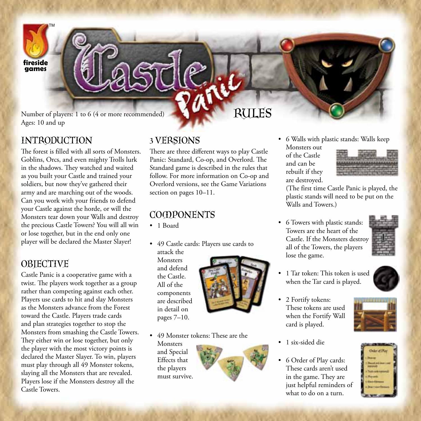

Number of players: 1 to 6 (4 or more recommended) Ages: 10 and up

## INTRODUCTION

The forest is filled with all sorts of Monsters. Goblins, Orcs, and even mighty Trolls lurk in the shadows. They watched and waited as you built your Castle and trained your soldiers, but now they've gathered their army and are marching out of the woods. Can you work with your friends to defend your Castle against the horde, or will the Monsters tear down your Walls and destroy the precious Castle Towers? You will all win or lose together, but in the end only one player will be declared the Master Slayer!

# **OBJECTIVE**

Castle Panic is a cooperative game with a twist. The players work together as a group rather than competing against each other. Players use cards to hit and slay Monsters as the Monsters advance from the Forest toward the Castle. Players trade cards and plan strategies together to stop the Monsters from smashing the Castle Towers. They either win or lose together, but only the player with the most victory points is declared the Master Slayer. To win, players must play through all 49 Monster tokens, slaying all the Monsters that are revealed. Players lose if the Monsters destroy all the Castle Towers.

## 3 Versions

There are three different ways to play Castle Panic: Standard, Co-op, and Overlord. The Standard game is described in the rules that follow. For more information on Co-op and Overlord versions, see the Game Variations section on pages 10–11.

# **COOPONENTS**

- • 1 Board
- • 49 Castle cards: Players use cards to

attack the **Monsters** and defend the Castle. All of the components are described in detail on pages 7–10.



TM

Rules

– 49 Monster tokens: These are the **Monsters** 

and Special Effects that the players must survive.



Monsters out of the Castle and can be rebuilt if they are destroyed.

• 6 Towers with plastic stands: Towers are the heart of the Castle. If the Monsters destroy all of the Towers, the players lose the game.

• 6 Walls with plastic stands: Walls keep



- 1 Tar token: This token is used when the Tar card is played.
- 2 Fortify tokens: These tokens are used when the Fortify Wall card is played.
- 1 six-sided die
- 6 Order of Play cards: These cards aren't used in the game. They are just helpful reminders of what to do on a turn.





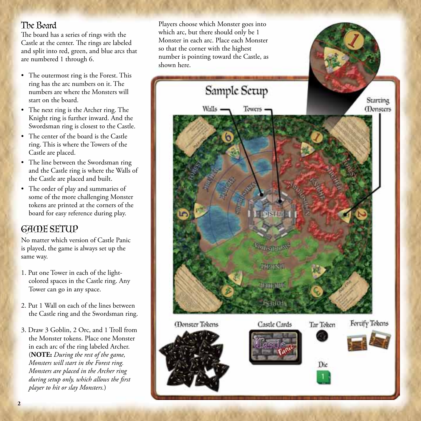## The Board

The board has a series of rings with the Castle at the center. The rings are labeled and split into red, green, and blue arcs that are numbered 1 through 6.

- The outermost ring is the Forest. This ring has the arc numbers on it. The numbers are where the Monsters will start on the board.
- The next ring is the Archer ring. The Knight ring is further inward. And the Swordsman ring is closest to the Castle.
- The center of the board is the Castle ring. This is where the Towers of the Castle are placed.
- The line between the Swordsman ring and the Castle ring is where the Walls of the Castle are placed and built.
- The order of play and summaries of some of the more challenging Monster tokens are printed at the corners of the board for easy reference during play.

# Game Setup

No matter which version of Castle Panic is played, the game is always set up the same way.

- 1. Put one Tower in each of the lightcolored spaces in the Castle ring. Any Tower can go in any space.
- 2. Put 1 Wall on each of the lines between the Castle ring and the Swordsman ring.
- 3. Draw 3 Goblin, 2 Orc, and 1 Troll from the Monster tokens. Place one Monster in each arc of the ring labeled Archer. (**NOTE:** *During the rest of the game, Monsters will start in the Forest ring. Monsters are placed in the Archer ring during setup only, which allows the first player to hit or slay Monsters.*)

Players choose which Monster goes into which arc, but there should only be 1 Monster in each arc. Place each Monster so that the corner with the highest number is pointing toward the Castle, as shown here.

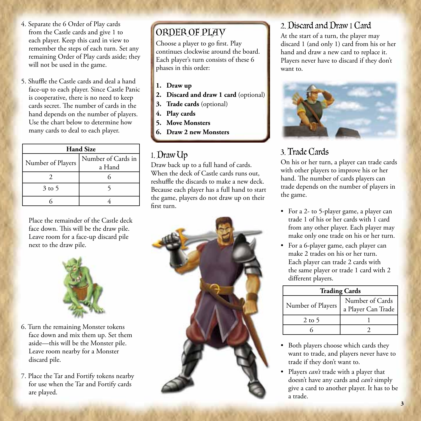- 4. Separate the 6 Order of Play cards from the Castle cards and give 1 to each player. Keep this card in view to remember the steps of each turn. Set any remaining Order of Play cards aside; they will not be used in the game.
- 5. Shuffle the Castle cards and deal a hand face-up to each player. Since Castle Panic is cooperative, there is no need to keep cards secret. The number of cards in the hand depends on the number of players. Use the chart below to determine how many cards to deal to each player.

| <b>Hand Size</b>  |                              |  |  |
|-------------------|------------------------------|--|--|
| Number of Players | Number of Cards in<br>a Hand |  |  |
|                   |                              |  |  |
| $3$ to 5          |                              |  |  |
|                   |                              |  |  |

Place the remainder of the Castle deck face down. This will be the draw pile. Leave room for a face-up discard pile next to the draw pile.



- 6. Turn the remaining Monster tokens face down and mix them up. Set them aside—this will be the Monster pile. Leave room nearby for a Monster discard pile.
- 7. Place the Tar and Fortify tokens nearby for use when the Tar and Fortify cards are played.

# Order of Play

Choose a player to go first. Play continues clockwise around the board. Each player's turn consists of these 6 phases in this order:

- **1. Draw up**
- **2. Discard and draw 1 card** (optional)
- **3. Trade cards** (optional)
- **4. Play cards**
- **5. Move Monsters**
- **6. Draw 2 new Monsters**

# 1. Draw Up

Draw back up to a full hand of cards. When the deck of Castle cards runs out, reshuffle the discards to make a new deck. Because each player has a full hand to start the game, players do not draw up on their first turn.



# 2. Discard and Draw 1 Card

At the start of a turn, the player may discard 1 (and only 1) card from his or her hand and draw a new card to replace it. Players never have to discard if they don't want to.



# 3. Trade Cards

On his or her turn, a player can trade cards with other players to improve his or her hand. The number of cards players can trade depends on the number of players in the game.

- For a 2- to 5-player game, a player can trade 1 of his or her cards with 1 card from any other player. Each player may make only one trade on his or her turn.
- For a 6-player game, each player can make 2 trades on his or her turn. Each player can trade 2 cards with the same player or trade 1 card with 2 different players.

| <b>Trading Cards</b> |                                       |  |  |  |
|----------------------|---------------------------------------|--|--|--|
| Number of Players    | Number of Cards<br>a Player Can Trade |  |  |  |
| $2$ to 5             |                                       |  |  |  |
|                      |                                       |  |  |  |

- Both players choose which cards they want to trade, and players never have to trade if they don't want to.
- • Players *can't* trade with a player that doesn't have any cards and *can't* simply give a card to another player. It has to be a trade.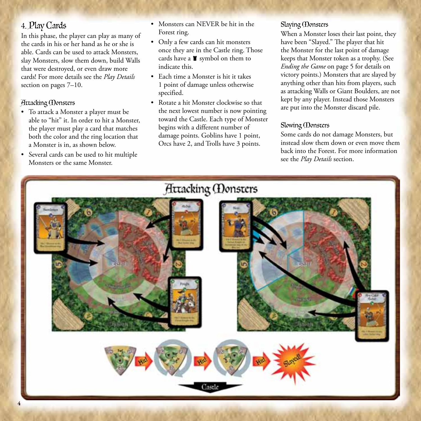## 4. Play Cards

In this phase, the player can play as many of the cards in his or her hand as he or she is able. Cards can be used to attack Monsters, slay Monsters, slow them down, build Walls that were destroyed, or even draw more cards! For more details see the *Play Details* section on pages 7–10.

### Attacking Monsters

- • To attack a Monster a player must be able to "hit" it. In order to hit a Monster, the player must play a card that matches both the color and the ring location that a Monster is in, as shown below.
- • Several cards can be used to hit multiple Monsters or the same Monster.
- Monsters can NEVER be hit in the Forest ring.
- Only a few cards can hit monsters once they are in the Castle ring. Those cards have a  $\blacksquare$  symbol on them to indicate this.
- • Each time a Monster is hit it takes 1 point of damage unless otherwise specified.
- • Rotate a hit Monster clockwise so that the next lowest number is now pointing toward the Castle. Each type of Monster begins with a different number of damage points. Goblins have 1 point, Orcs have 2, and Trolls have 3 points.

### Slaying Monsters

When a Monster loses their last point, they have been "Slayed." The player that hit the Monster for the last point of damage keeps that Monster token as a trophy. (See *Ending the Game* on page 5 for details on victory points.) Monsters that are slayed by anything other than hits from players, such as attacking Walls or Giant Boulders, are not kept by any player. Instead those Monsters are put into the Monster discard pile.

### Slowing **(Donsters**

Some cards do not damage Monsters, but instead slow them down or even move them back into the Forest. For more information see the *Play Details* section.

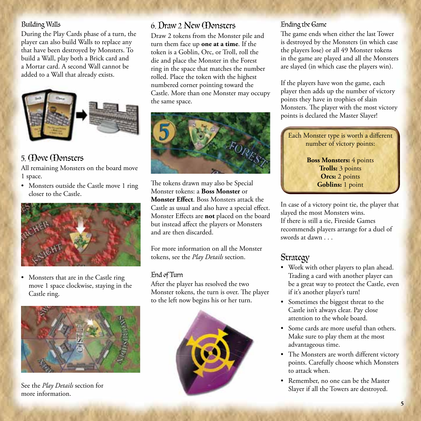### Building Walls

During the Play Cards phase of a turn, the player can also build Walls to replace any that have been destroyed by Monsters. To build a Wall, play both a Brick card and a Mortar card. A second Wall cannot be added to a Wall that already exists.



# 5. Move Monsters

All remaining Monsters on the board move 1 space.

• Monsters outside the Castle move 1 ring closer to the Castle.



Monsters that are in the Castle ring move 1 space clockwise, staying in the Castle ring.



See the *Play Details* section for more information.

# 6. Draw 2 New Monsters

Draw 2 tokens from the Monster pile and turn them face up **one at a time**. If the token is a Goblin, Orc, or Troll, roll the die and place the Monster in the Forest ring in the space that matches the number rolled. Place the token with the highest numbered corner pointing toward the Castle. More than one Monster may occupy the same space.



The tokens drawn may also be Special Monster tokens: a **Boss Monster** or **Monster Effect**. Boss Monsters attack the Castle as usual and also have a special effect. Monster Effects are **not** placed on the board but instead affect the players or Monsters and are then discarded.

For more information on all the Monster tokens, see the *Play Details* section.

### End of Turn

After the player has resolved the two Monster tokens, the turn is over. The player to the left now begins his or her turn.



### Ending the Game

The game ends when either the last Tower is destroyed by the Monsters (in which case the players lose) or all 49 Monster tokens in the game are played and all the Monsters are slayed (in which case the players win).

If the players have won the game, each player then adds up the number of victory points they have in trophies of slain Monsters. The player with the most victory points is declared the Master Slayer!



In case of a victory point tie, the player that slayed the most Monsters wins. If there is still a tie, Fireside Games recommends players arrange for a duel of swords at dawn . . .

# Strategy

- • Work with other players to plan ahead. Trading a card with another player can be a great way to protect the Castle, even if it's another player's turn!
- • Sometimes the biggest threat to the Castle isn't always clear. Pay close attention to the whole board.
- • Some cards are more useful than others. Make sure to play them at the most advantageous time.
- The Monsters are worth different victory points. Carefully choose which Monsters to attack when.
- Remember, no one can be the Master Slayer if all the Towers are destroyed.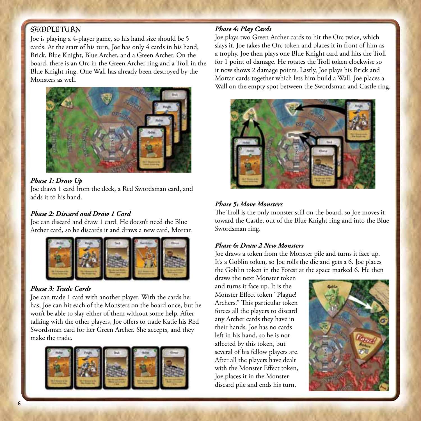### SAMPLE TURN

Joe is playing a 4-player game, so his hand size should be 5 cards. At the start of his turn, Joe has only 4 cards in his hand, Brick, Blue Knight, Blue Archer, and a Green Archer. On the board, there is an Orc in the Green Archer ring and a Troll in the Blue Knight ring. One Wall has already been destroyed by the Monsters as well.



#### *Phase 1: Draw Up*

Joe draws 1 card from the deck, a Red Swordsman card, and adds it to his hand.

### *Phase 2: Discard and Draw 1 Card*

Joe can discard and draw 1 card. He doesn't need the Blue Archer card, so he discards it and draws a new card, Mortar.



#### *Phase 3: Trade Cards*

Joe can trade 1 card with another player. With the cards he has, Joe can hit each of the Monsters on the board once, but he won't be able to slay either of them without some help. After talking with the other players, Joe offers to trade Katie his Red Swordsman card for her Green Archer. She accepts, and they make the trade.



### *Phase 4: Play Cards*

Joe plays two Green Archer cards to hit the Orc twice, which slays it. Joe takes the Orc token and places it in front of him as a trophy. Joe then plays one Blue Knight card and hits the Troll for 1 point of damage. He rotates the Troll token clockwise so it now shows 2 damage points. Lastly, Joe plays his Brick and Mortar cards together which lets him build a Wall. Joe places a Wall on the empty spot between the Swordsman and Castle ring.



#### *Phase 5: Move Monsters*

The Troll is the only monster still on the board, so Joe moves it toward the Castle, out of the Blue Knight ring and into the Blue Swordsman ring.

#### *Phase 6: Draw 2 New Monsters*

Joe draws a token from the Monster pile and turns it face up. It's a Goblin token, so Joe rolls the die and gets a 6. Joe places the Goblin token in the Forest at the space marked 6. He then

draws the next Monster token and turns it face up. It is the Monster Effect token "Plague! Archers." This particular token forces all the players to discard any Archer cards they have in their hands. Joe has no cards left in his hand, so he is not affected by this token, but several of his fellow players are. After all the players have dealt with the Monster Effect token, Joe places it in the Monster discard pile and ends his turn.

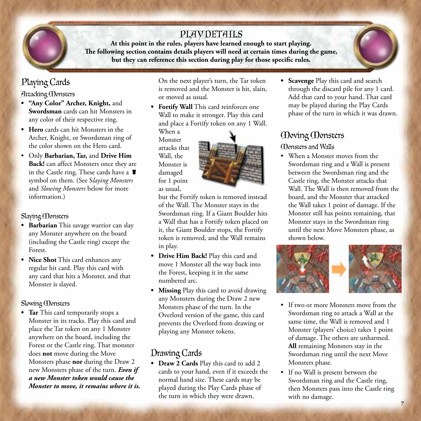# PLAY DETAILS

**At this point in the rules, players have learned enough to start playing. The following section contains details players will need at certain times during the game, but they can reference this section during play for those specific rules.**

# Playing Cards

Attacking Monsters

- **• "Any Color" Archer, Knight,** and **Swordsman** cards can hit Monsters in any color of their respective ring.
- **• Hero** cards can hit Monsters in the Archer, Knight, or Swordsman ring of the color shown on the Hero card.
- • Only **Barbarian, Tar,** and **Drive Him Back!** can affect Monsters once they are in the Castle ring. These cards have a  $\blacksquare$ symbol on them. (See S*laying Monsters* and *Slowing Monsters* below for more information.)

### Slaying Monsters

- **• Barbarian** This savage warrior can slay any Monster anywhere on the board (including the Castle ring) except the Forest.
- **• Nice Shot** This card enhances any regular hit card. Play this card with any card that hits a Monster, and that Monster is slayed.

### Slowing **(Donsters**

**• Tar** This card temporarily stops a Monster in its tracks. Play this card and place the Tar token on any 1 Monster anywhere on the board, including the Forest or the Castle ring. That monster does **not** move during the Move Monsters phase **nor** during the Draw 2 new Monsters phase of the turn. *Even if a new Monster token would cause the Monster to move, it remains where it is.*  On the next player's turn, the Tar token is removed and the Monster is hit, slain, or moved as usual.

**• Fortify Wall** This card reinforces one Wall to make it stronger. Play this card and place a Fortify token on any 1 Wall.

When a Monster attacks that Wall, the Monster is damaged for 1 point as usual,



but the Fortify token is removed instead of the Wall. The Monster stays in the Swordsman ring. If a Giant Boulder hits a Wall that has a Fortify token placed on it, the Giant Boulder stops, the Fortify token is removed, and the Wall remains in play.

- **• Drive Him Back!** Play this card and move 1 Monster all the way back into the Forest, keeping it in the same numbered arc.
- **• Missing** Play this card to avoid drawing any Monsters during the Draw 2 new Monsters phase of the turn. In the Overlord version of the game, this card prevents the Overlord from drawing or playing any Monster tokens.

# Drawing Cards

**• Draw 2 Cards** Play this card to add 2 cards to your hand, even if it exceeds the normal hand size. These cards may be played during the Play Cards phase of the turn in which they were drawn.

**• Scavenge** Play this card and search through the discard pile for any 1 card. Add that card to your hand. That card may be played during the Play Cards phase of the turn in which it was drawn.

# Moving Monsters

## Monsters and Walls

• When a Monster moves from the Swordsman ring and a Wall is present between the Swordsman ring and the Castle ring, the Monster attacks that Wall. The Wall is then removed from the board, and the Monster that attacked the Wall takes 1 point of damage. If the Monster still has points remaining, that Monster stays in the Swordsman ring until the next Move Monsters phase, as shown below.



- If two or more Monsters move from the Swordsman ring to attack a Wall at the same time, the Wall is removed and 1 Monster (players' choice) takes 1 point of damage. The others are unharmed. **All** remaining Monsters stay in the Swordsman ring until the next Move Monsters phase.
- If no Wall is present between the Swordsman ring and the Castle ring, then Monsters pass into the Castle ring with no damage.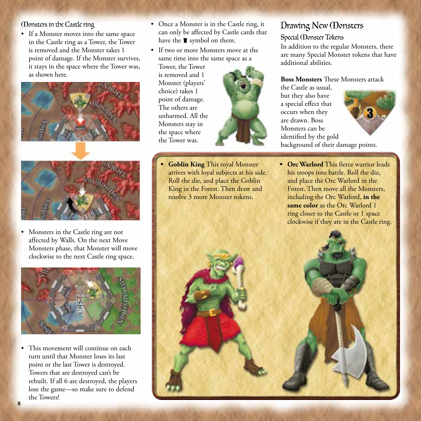Monsters in the Castle ring

• If a Monster moves into the same space in the Castle ring as a Tower, the Tower is removed and the Monster takes 1 point of damage. If the Monster survives, it stays in the space where the Tower was, as shown here.



• Monsters in the Castle ring are not affected by Walls. On the next Move Monsters phase, that Monster will move clockwise to the next Castle ring space.



• This movement will continue on each turn until that Monster loses its last point or the last Tower is destroyed. Towers that are destroyed can't be rebuilt. If all 6 are destroyed, the players lose the game—so make sure to defend the Towers!

- Once a Monster is in the Castle ring, it can only be affected by Castle cards that have the  $\blacksquare$  symbol on them.
- If two or more Monsters move at the same time into the same space as a

Tower, the Tower is removed and 1 Monster (players' choice) takes 1 point of damage. The others are unharmed. All the Monsters stay in the space where the Tower was.



**Goblin King This royal Monster** arrives with loyal subjects at his side. Roll the die, and place the Goblin King in the Forest. Then draw and resolve 3 more Monster tokens.

# Drawing New Monsters

### Special Monster Tokens

In addition to the regular Monsters, there are many Special Monster tokens that have additional abilities.

#### **Boss Monsters** These Monsters attack

the Castle as usual, but they also have a special effect that occurs when they are drawn. Boss Monsters can be identified by the gold background of their damage points.



**• Orc Warlord** This fierce warrior leads his troops into battle. Roll the die, and place the Orc Warlord in the Forest. Then move all the Monsters, including the Orc Warlord, **in the same color** as the Orc Warlord 1 ring closer to the Castle or 1 space clockwise if they are in the Castle ring.

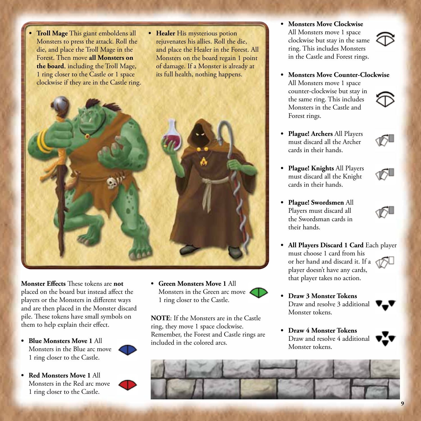- **Troll Mage** This giant emboldens all Monsters to press the attack. Roll the die, and place the Troll Mage in the Forest. Then move **all Monsters on the board**, including the Troll Mage, 1 ring closer to the Castle or 1 space clockwise if they are in the Castle ring.
- **• Healer** His mysterious potion rejuvenates his allies. Roll the die, and place the Healer in the Forest. All Monsters on the board regain 1 point of damage. If a Monster is already at its full health, nothing happens.



**Monster Effects** These tokens are **not**  placed on the board but instead affect the players or the Monsters in different ways and are then placed in the Monster discard pile. These tokens have small symbols on them to help explain their effect.

**• Blue Monsters Move 1** All Monsters in the Blue arc move 1 ring closer to the Castle.



**• Red Monsters Move 1** All Monsters in the Red arc move 1 ring closer to the Castle.



**NOTE**: If the Monsters are in the Castle ring, they move 1 space clockwise. Remember, the Forest and Castle rings are included in the colored arcs.

**• Monsters Move Clockwise**  All Monsters move 1 space clockwise but stay in the same ring. This includes Monsters in the Castle and Forest rings.



- **• Monsters Move Counter-Clockwise** All Monsters move 1 space counter-clockwise but stay in the same ring. This includes Monsters in the Castle and Forest rings.
- **• Plague! Archers** All Players must discard all the Archer cards in their hands.
- **• Plague! Knights** All Players must discard all the Knight cards in their hands.
- **• Plague! Swordsmen** All Players must discard all the Swordsman cards in their hands.



- **• All Players Discard 1 Card** Each player must choose 1 card from his or her hand and discard it. If a player doesn't have any cards, that player takes no action.
- **• Draw 3 Monster Tokens** Draw and resolve 3 additional Monster tokens.
- **• Draw 4 Monster Tokens** Draw and resolve 4 additional Monster tokens.



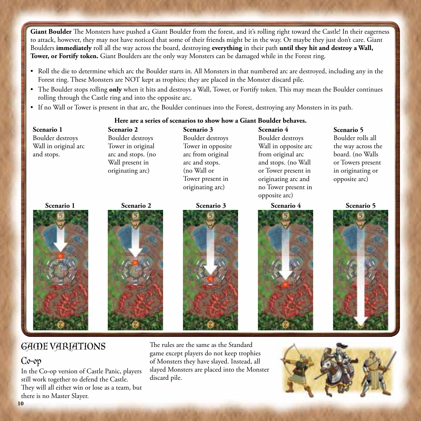Giant Boulder The Monsters have pushed a Giant Boulder from the forest, and it's rolling right toward the Castle! In their eagerness to attack, however, they may not have noticed that some of their friends might be in the way. Or maybe they just don't care. Giant Boulders **immediately** roll all the way across the board, destroying **everything** in their path **until they hit and destroy a Wall, Tower, or Fortify token.** Giant Boulders are the only way Monsters can be damaged while in the Forest ring.

- Roll the die to determine which arc the Boulder starts in. All Monsters in that numbered arc are destroyed, including any in the Forest ring. These Monsters are NOT kept as trophies; they are placed in the Monster discard pile.
- The Boulder stops rolling **only** when it hits and destroys a Wall, Tower, or Fortify token. This may mean the Boulder continues rolling through the Castle ring and into the opposite arc.
- • If no Wall or Tower is present in that arc, the Boulder continues into the Forest, destroying any Monsters in its path.

#### **Here are a series of scenarios to show how a Giant Boulder behaves.**

**Scenario 1**  Boulder destroys Wall in original arc and stops.





**Scenario 2**  Boulder destroys Tower in original arc and stops. (no Wall present in originating arc)

**Scenario 3**  Boulder destroys Tower in opposite arc from original arc and stops. (no Wall or Tower present in originating arc)



**Scenario 4**  Boulder destroys Wall in opposite arc from original arc and stops. (no Wall or Tower present in originating arc and no Tower present in opposite arc)



**Scenario 5** Boulder rolls all the way across the board. (no Walls or Towers present in originating or opposite arc)



# GAME VARIATIONS

# Co-op

In the Co-op version of Castle Panic, players still work together to defend the Castle. They will all either win or lose as a team, but there is no Master Slayer.

The rules are the same as the Standard game except players do not keep trophies of Monsters they have slayed. Instead, all slayed Monsters are placed into the Monster discard pile.

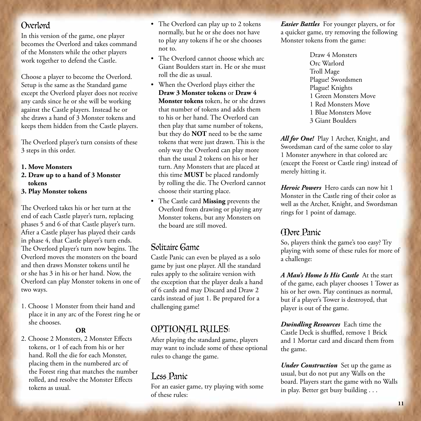## Overlord

In this version of the game, one player becomes the Overlord and takes command of the Monsters while the other players work together to defend the Castle.

Choose a player to become the Overlord. Setup is the same as the Standard game except the Overlord player does not receive any cards since he or she will be working against the Castle players. Instead he or she draws a hand of 3 Monster tokens and keeps them hidden from the Castle players.

The Overlord player's turn consists of these 3 steps in this order.

#### **1. Move Monsters**

- **2. Draw up to a hand of 3 Monster tokens**
- **3. Play Monster tokens**

The Overlord takes his or her turn at the end of each Castle player's turn, replacing phases 5 and 6 of that Castle player's turn. After a Castle player has played their cards in phase 4, that Castle player's turn ends. The Overlord player's turn now begins. The Overlord moves the monsters on the board and then draws Monster tokens until he or she has 3 in his or her hand. Now, the Overlord can play Monster tokens in one of two ways.

1. Choose 1 Monster from their hand and place it in any arc of the Forest ring he or she chooses.

#### **OR**

2. Choose 2 Monsters, 2 Monster Effects tokens, or 1 of each from his or her hand. Roll the die for each Monster, placing them in the numbered arc of the Forest ring that matches the number rolled, and resolve the Monster Effects tokens as usual.

- The Overlord can play up to 2 tokens normally, but he or she does not have to play any tokens if he or she chooses not to.
- The Overlord cannot choose which arc Giant Boulders start in. He or she must roll the die as usual.
- • When the Overlord plays either the **Draw 3 Monster tokens** or **Draw 4 Monster tokens** token, he or she draws that number of tokens and adds them to his or her hand. The Overlord can then play that same number of tokens, but they do **NOT** need to be the same tokens that were just drawn. This is the only way the Overlord can play more than the usual 2 tokens on his or her turn. Any Monsters that are placed at this time **MUST** be placed randomly by rolling the die. The Overlord cannot choose their starting place.
- • The Castle card **Missing** prevents the Overlord from drawing or playing any Monster tokens, but any Monsters on the board are still moved.

## Solitaire Game

Castle Panic can even be played as a solo game by just one player. All the standard rules apply to the solitaire version with the exception that the player deals a hand of 6 cards and may Discard and Draw 2 cards instead of just 1. Be prepared for a challenging game!

## Optional Rules:

After playing the standard game, players may want to include some of these optional rules to change the game.

## Less Panic

For an easier game, try playing with some of these rules:

*Easier Battles* For younger players, or for a quicker game, try removing the following Monster tokens from the game:

> Draw 4 Monsters Orc Warlord Troll Mage Plague! Swordsmen Plague! Knights 1 Green Monsters Move 1 Red Monsters Move 1 Blue Monsters Move 3 Giant Boulders

*All for One!* Play 1 Archer, Knight, and Swordsman card of the same color to slay 1 Monster anywhere in that colored arc (except the Forest or Castle ring) instead of merely hitting it.

*Heroic Powers* Hero cards can now hit 1 Monster in the Castle ring of their color as well as the Archer, Knight, and Swordsman rings for 1 point of damage.

## More Panic

So, players think the game's too easy? Try playing with some of these rules for more of a challenge:

*A Man's Home Is His Castle* At the start of the game, each player chooses 1 Tower as his or her own. Play continues as normal, but if a player's Tower is destroyed, that player is out of the game.

*Dwindling Resources* Each time the Castle Deck is shuffled, remove 1 Brick and 1 Mortar card and discard them from the game.

*Under Construction* Set up the game as usual, but do not put any Walls on the board. Players start the game with no Walls in play. Better get busy building . . .